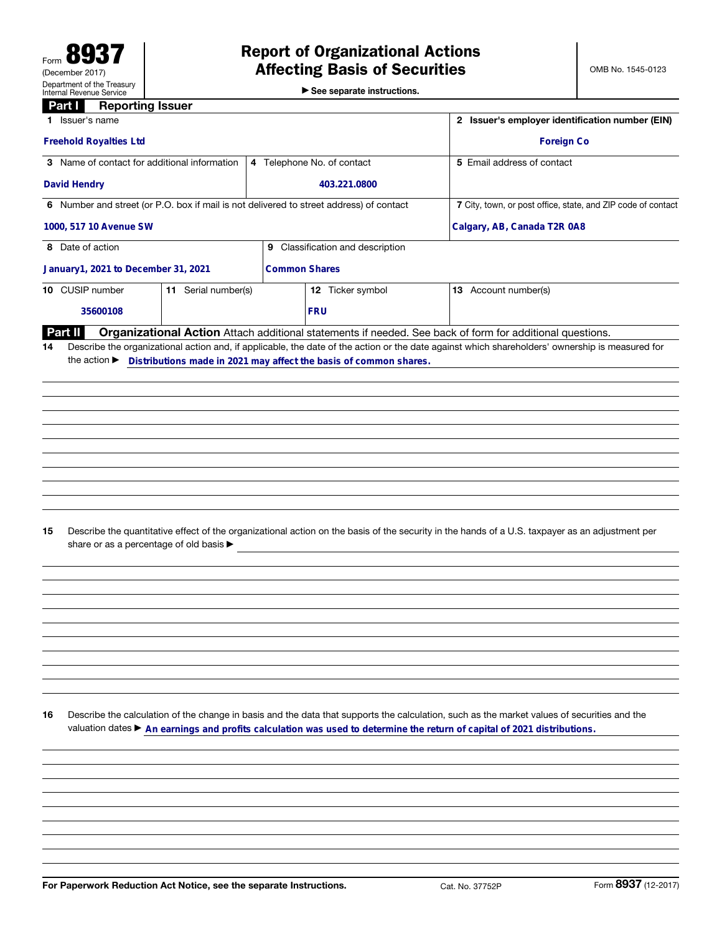▶ See separate instructions.

## **Part | Reporting Issuer**

| 1 Issuer's name                                                                                                                | 2 Issuer's employer identification number (EIN) |                                                                                                                                                                                                                                                             |  |  |  |
|--------------------------------------------------------------------------------------------------------------------------------|-------------------------------------------------|-------------------------------------------------------------------------------------------------------------------------------------------------------------------------------------------------------------------------------------------------------------|--|--|--|
| <b>Freehold Royalties Ltd</b>                                                                                                  |                                                 | <b>Foreign Co</b>                                                                                                                                                                                                                                           |  |  |  |
| 3 Name of contact for additional information                                                                                   | 4 Telephone No. of contact                      | 5 Email address of contact                                                                                                                                                                                                                                  |  |  |  |
| <b>David Hendry</b>                                                                                                            | 403.221.0800                                    |                                                                                                                                                                                                                                                             |  |  |  |
| 6 Number and street (or P.O. box if mail is not delivered to street address) of contact                                        |                                                 | 7 City, town, or post office, state, and ZIP code of contact                                                                                                                                                                                                |  |  |  |
| 1000, 517 10 Avenue SW                                                                                                         | Calgary, AB, Canada T2R 0A8                     |                                                                                                                                                                                                                                                             |  |  |  |
| 8 Date of action                                                                                                               | 9 Classification and description                |                                                                                                                                                                                                                                                             |  |  |  |
| January1, 2021 to December 31, 2021                                                                                            | <b>Common Shares</b>                            |                                                                                                                                                                                                                                                             |  |  |  |
| 10 CUSIP number<br>11 Serial number(s)                                                                                         | 12 Ticker symbol                                | 13 Account number(s)                                                                                                                                                                                                                                        |  |  |  |
| 35600108                                                                                                                       | <b>FRU</b>                                      |                                                                                                                                                                                                                                                             |  |  |  |
| <b>Part II</b><br>14<br>the action Distributions made in 2021 may affect the basis of common shares.                           |                                                 | Organizational Action Attach additional statements if needed. See back of form for additional questions.<br>Describe the organizational action and, if applicable, the date of the action or the date against which shareholders' ownership is measured for |  |  |  |
|                                                                                                                                |                                                 |                                                                                                                                                                                                                                                             |  |  |  |
| 15<br>share or as a percentage of old basis >                                                                                  |                                                 | Describe the quantitative effect of the organizational action on the basis of the security in the hands of a U.S. taxpayer as an adjustment per                                                                                                             |  |  |  |
| 16<br>valuation dates ▶ An earnings and profits calculation was used to determine the return of capital of 2021 distributions. |                                                 | Describe the calculation of the change in basis and the data that supports the calculation, such as the market values of securities and the                                                                                                                 |  |  |  |
|                                                                                                                                |                                                 |                                                                                                                                                                                                                                                             |  |  |  |
| For Paperwork Reduction Act Notice, see the separate Instructions.                                                             |                                                 | Form 8937 (12-2017)<br>Cat. No. 37752P                                                                                                                                                                                                                      |  |  |  |